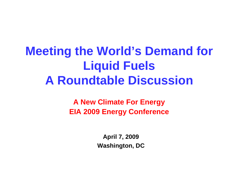# **Meeting the World's Demand for Liquid Fuels A Roundtable Discussion**

**A New Climate For Energy EIA 2009 Energy Conference**

> **April 7, 2009 Washington, DC**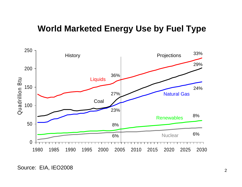### **World Marketed Energy Use by Fuel Type**



Source: EIA, IEO2008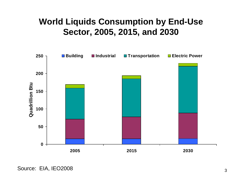### **World Liquids Consumption by End-Use Sector, 2005, 2015, and 2030**



Source: EIA, IEO2008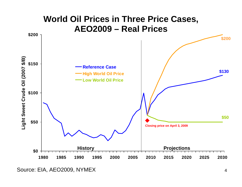

Source: EIA, AEO2009, NYMEX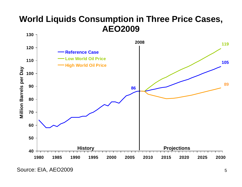## **World Liquids Consumption in Three Price Cases, AEO2009**

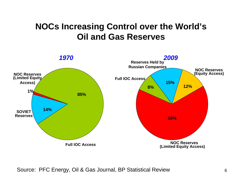## **NOCs Increasing Control over the World's Oil and Gas Reserves**



Source: PFC Energy, Oil & Gas Journal, BP Statistical Review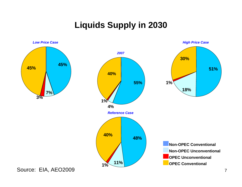## **Liquids Supply in 2030**





*High Price Case*

**OPEC ConventionalNon-OPEC UnconventionalOPEC UnconventionalNon-OPEC Conventional**

Source: EIA, AEO2009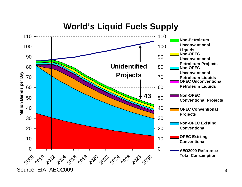### **World's Liquid Fuels Supply**

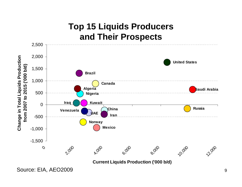## **Top 15 Liquids Producers and Their Prospects**



Source: EIA, AEO2009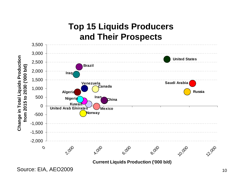## **Top 15 Liquids Producers and Their Prospects**



Source: EIA, AEO2009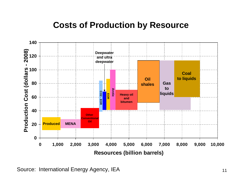### **Costs of Production by Resource**



Source: International Energy Agency, IEA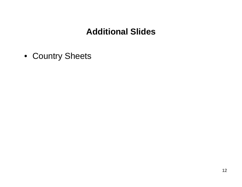## **Additional Slides**

• Country Sheets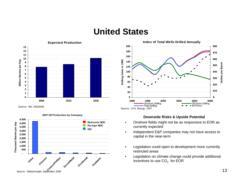#### **United States**



**2007 Oil Production by Company 4,500 Domestic NOC**Thousand Barrels per day **Thousand Barrels per day 4,000 Foreign NOC 3,500 I**IOC **3,000 2,500 2,000 1,500 1,000 500ExxonMobil** Occidental **Anadarko Other Chevron** Cive<sup>roco</sup><br>Civex<sup>doc</sup>ophillips<br>Source: Global Insight, September 2008



- Onshore fields might not be as responsive to EOR as currently expected
- Independent E&P companies may not have access to capital in the near-term
- Legislation could open to development more currently restricted areas
- Legislation on climate change could provide additional incentives to use  $CO<sub>2</sub>$  for EOR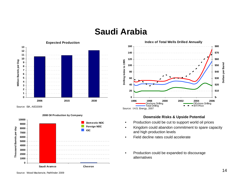#### **Saudi Arabia**



Source: EIA, AEO2009







- Production could be cut to support world oil prices
- Kingdom could abandon commitment to spare capacity and high production levels
- Field decline rates could accelerate
- Production could be expanded to discourage alternatives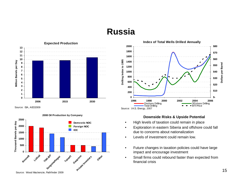### **Russia**



Source: EIA, AEO2009



#### **2008 Oil Production by Company**



- High levels of taxation could remain in place
- Exploration in eastern Siberia and offshore could fall due to concerns about nationalization
- Levels of investment could remain low.
- Future changes in taxation policies could have large impact and encourage investment
- Small firms could rebound faster than expected from financial crisis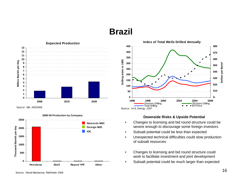### **Brazil**



Source: EIA, AEO2009







- Changes to licensing and bid round structure could be severe enough to discourage some foreign investors
- Subsalt potential could be less than expected
- Unexpected technical difficulties could slow production of subsalt resources
- Changes to licensing and bid round structure could work to facilitate investment and joint development
- Subsalt potential could be much larger than expected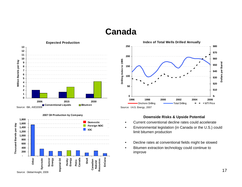#### **Canada**





**2007 Oil Production by Company**



#### **Downside Risks & Upside Potential**

- Current conventional decline rates could accelerate
- Environmental legislation (in Canada or the U.S.) could limit bitumen production
- Decline rates at conventional fields might be slowed
- Bitumen extraction technology could continue to improve

17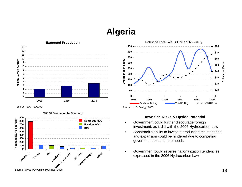## **Algeria**



Source: EIA, AEO2009



#### **2008 Oil Production by Company**



- Government could further discourage foreign investment, as it did with the 2006 Hydrocarbon Law
- Sonatrach's ability to invest in production maintenance and expansion could be hindered due to competing government expenditure needs
- Government could reverse nationalization tendencies expressed in the 2006 Hydrocarbon Law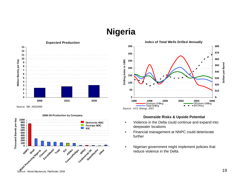## **Nigeria**



Source: EIA, AEO2009



#### **2008 Oil Production by Company**



- Violence in the Delta could continue and expand into deepwater locations
- Financial management at NNPC could deteriorate further
- Nigerian government might implement policies that reduce violence in the Delta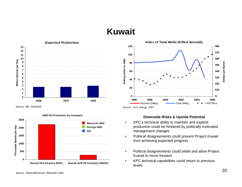## **Kuwait**



Source: EIA, AEO2009



**2008 Oil Production by Company**



- KPC's technical ability to maintain and expand production could be hindered by politically motivated management changes
- Political disagreements could prevent Project Kuwait from achieving expected progress
- Political disagreements could settle and allow Project Kuwait to move forward
- KPC technical capabilities could return to previous levels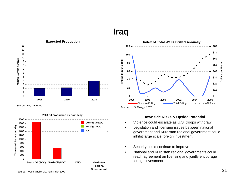### **Iraq**



Source: EIA, AEO2009



#### **2008 Oil Production by Company**



- Violence could escalate as U.S. troops withdraw
- Legislation and licensing issues between national government and Kurdistan regional government could inhibit large scale foreign investment
- Security could continue to improve
- National and Kurdistan regional governments could reach agreement on licensing and jointly encourage foreign investment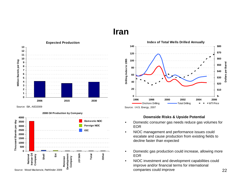#### **Iran**



Source: EIA, AEO2009





- Domestic consumer gas needs reduce gas volumes for EOR
- NIOC management and performance issues could escalate and cause production from existing fields to decline faster than expected
- Domestic gas production could increase, allowing more EOR
- NIOC investment and development capabilities could improve and/or financial terms for international companies could improve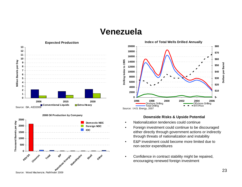#### **Venezuela**





#### **2008 Oil Production by Company**



- Nationalization tendencies could continue
- Foreign investment could continue to be discouraged either directly through government actions or indirectly through threats of nationalization and instability
- E&P investment could become more limited due to non-sector expenditures
- Confidence in contract stability might be repaired, encouraging renewed foreign investment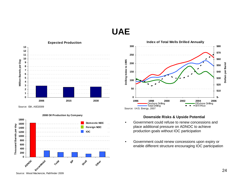### **UAE**



Source: EIA, AEO2009







- Government could refuse to renew concessions and place additional pressure on ADNOC to achieve production goals without IOC participation
- Government could renew concessions upon expiry or enable different structure encouraging IOC participation

Source: Wood Mackenzie, Pathfinder 2009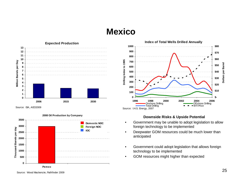### **Mexico**



Source: EIA, AEO2009







- Government may be unable to adopt legislation to allow foreign technology to be implemented
- Deepwater GOM resources could be much lower than anticipated
- Government could adopt legislation that allows foreign technology to be implemented
- GOM resources might higher than expected

Source: Wood Mackenzie, Pathfinder 2009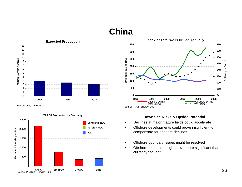## **China**



Source: EIA, AEO2009







- Declines at major mature fields could accelerate
- Offshore developments could prove insufficient to compensate for onshore declines
- Offshore boundary issues might be resolved
- Offshore resources might prove more significant than currently thought